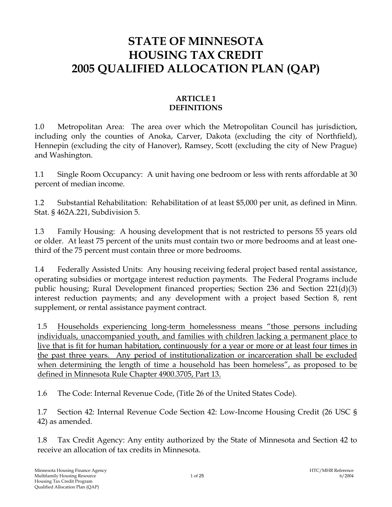# **STATE OF MINNESOTA HOUSING TAX CREDIT 2005 QUALIFIED ALLOCATION PLAN (QAP)**

## **ARTICLE 1 DEFINITIONS**

1.0 Metropolitan Area: The area over which the Metropolitan Council has jurisdiction, including only the counties of Anoka, Carver, Dakota (excluding the city of Northfield), Hennepin (excluding the city of Hanover), Ramsey, Scott (excluding the city of New Prague) and Washington.

1.1 Single Room Occupancy: A unit having one bedroom or less with rents affordable at 30 percent of median income.

1.2 Substantial Rehabilitation: Rehabilitation of at least \$5,000 per unit, as defined in Minn. Stat. § 462A.221, Subdivision 5.

1.3 Family Housing: A housing development that is not restricted to persons 55 years old or older. At least 75 percent of the units must contain two or more bedrooms and at least onethird of the 75 percent must contain three or more bedrooms.

1.4 Federally Assisted Units: Any housing receiving federal project based rental assistance, operating subsidies or mortgage interest reduction payments. The Federal Programs include public housing; Rural Development financed properties; Section 236 and Section 221(d)(3) interest reduction payments; and any development with a project based Section 8, rent supplement, or rental assistance payment contract.

1.5 Households experiencing long-term homelessness means "those persons including individuals, unaccompanied youth, and families with children lacking a permanent place to live that is fit for human habitation, continuously for a year or more or at least four times in the past three years. Any period of institutionalization or incarceration shall be excluded when determining the length of time a household has been homeless", as proposed to be defined in Minnesota Rule Chapter 4900.3705, Part 13.

1.6 The Code: Internal Revenue Code, (Title 26 of the United States Code).

1.7 Section 42: Internal Revenue Code Section 42: Low-Income Housing Credit (26 USC § 42) as amended.

1.8 Tax Credit Agency: Any entity authorized by the State of Minnesota and Section 42 to receive an allocation of tax credits in Minnesota.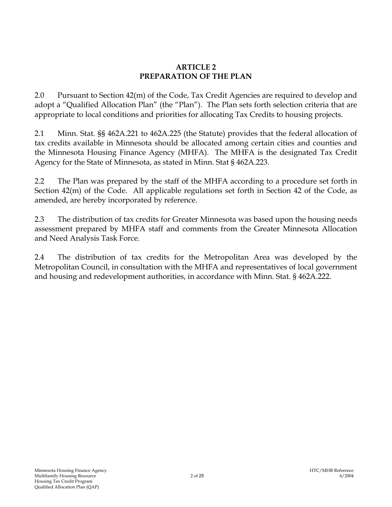### **ARTICLE 2 PREPARATION OF THE PLAN**

2.0 Pursuant to Section 42(m) of the Code, Tax Credit Agencies are required to develop and adopt a "Qualified Allocation Plan" (the "Plan"). The Plan sets forth selection criteria that are appropriate to local conditions and priorities for allocating Tax Credits to housing projects.

2.1 Minn. Stat. §§ 462A.221 to 462A.225 (the Statute) provides that the federal allocation of tax credits available in Minnesota should be allocated among certain cities and counties and the Minnesota Housing Finance Agency (MHFA). The MHFA is the designated Tax Credit Agency for the State of Minnesota, as stated in Minn. Stat § 462A.223.

2.2 The Plan was prepared by the staff of the MHFA according to a procedure set forth in Section 42(m) of the Code. All applicable regulations set forth in Section 42 of the Code, as amended, are hereby incorporated by reference.

2.3 The distribution of tax credits for Greater Minnesota was based upon the housing needs assessment prepared by MHFA staff and comments from the Greater Minnesota Allocation and Need Analysis Task Force.

2.4 The distribution of tax credits for the Metropolitan Area was developed by the Metropolitan Council, in consultation with the MHFA and representatives of local government and housing and redevelopment authorities, in accordance with Minn. Stat. § 462A.222.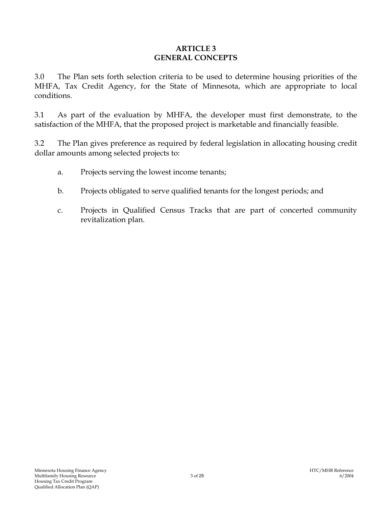### **ARTICLE 3 GENERAL CONCEPTS**

3.0 The Plan sets forth selection criteria to be used to determine housing priorities of the MHFA, Tax Credit Agency, for the State of Minnesota, which are appropriate to local conditions.

3.1 As part of the evaluation by MHFA, the developer must first demonstrate, to the satisfaction of the MHFA, that the proposed project is marketable and financially feasible.

3.2 The Plan gives preference as required by federal legislation in allocating housing credit dollar amounts among selected projects to:

- a. Projects serving the lowest income tenants;
- b. Projects obligated to serve qualified tenants for the longest periods; and
- c. Projects in Qualified Census Tracks that are part of concerted community revitalization plan.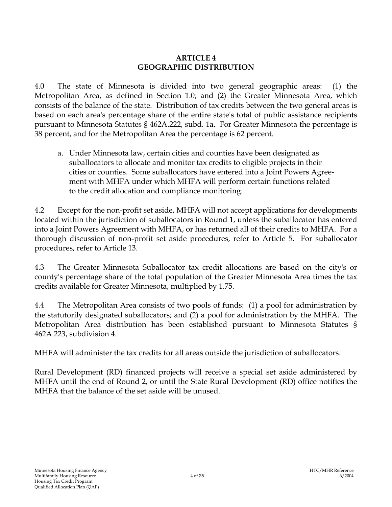## **ARTICLE 4 GEOGRAPHIC DISTRIBUTION**

4.0 The state of Minnesota is divided into two general geographic areas: (1) the Metropolitan Area, as defined in Section 1.0; and (2) the Greater Minnesota Area, which consists of the balance of the state. Distribution of tax credits between the two general areas is based on each area's percentage share of the entire state's total of public assistance recipients pursuant to Minnesota Statutes § 462A.222, subd. 1a. For Greater Minnesota the percentage is 38 percent, and for the Metropolitan Area the percentage is 62 percent.

a. Under Minnesota law, certain cities and counties have been designated as suballocators to allocate and monitor tax credits to eligible projects in their cities or counties. Some suballocators have entered into a Joint Powers Agreement with MHFA under which MHFA will perform certain functions related to the credit allocation and compliance monitoring.

4.2 Except for the non-profit set aside, MHFA will not accept applications for developments located within the jurisdiction of suballocators in Round 1, unless the suballocator has entered into a Joint Powers Agreement with MHFA, or has returned all of their credits to MHFA. For a thorough discussion of non-profit set aside procedures, refer to Article 5. For suballocator procedures, refer to Article 13.

4.3 The Greater Minnesota Suballocator tax credit allocations are based on the city's or county's percentage share of the total population of the Greater Minnesota Area times the tax credits available for Greater Minnesota, multiplied by 1.75.

4.4 The Metropolitan Area consists of two pools of funds: (1) a pool for administration by the statutorily designated suballocators; and (2) a pool for administration by the MHFA. The Metropolitan Area distribution has been established pursuant to Minnesota Statutes § 462A.223, subdivision 4.

MHFA will administer the tax credits for all areas outside the jurisdiction of suballocators.

Rural Development (RD) financed projects will receive a special set aside administered by MHFA until the end of Round 2, or until the State Rural Development (RD) office notifies the MHFA that the balance of the set aside will be unused.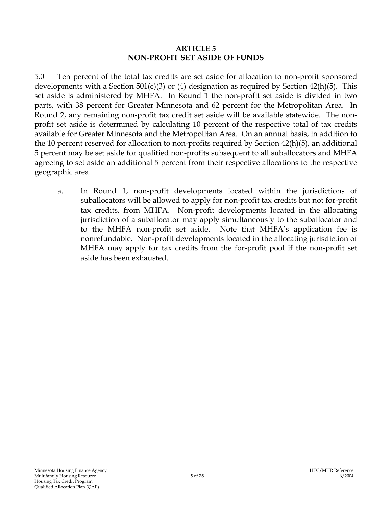### **ARTICLE 5 NON-PROFIT SET ASIDE OF FUNDS**

5.0 Ten percent of the total tax credits are set aside for allocation to non-profit sponsored developments with a Section 501(c)(3) or (4) designation as required by Section 42(h)(5). This set aside is administered by MHFA. In Round 1 the non-profit set aside is divided in two parts, with 38 percent for Greater Minnesota and 62 percent for the Metropolitan Area. In Round 2, any remaining non-profit tax credit set aside will be available statewide. The nonprofit set aside is determined by calculating 10 percent of the respective total of tax credits available for Greater Minnesota and the Metropolitan Area. On an annual basis, in addition to the 10 percent reserved for allocation to non-profits required by Section 42(h)(5), an additional 5 percent may be set aside for qualified non-profits subsequent to all suballocators and MHFA agreeing to set aside an additional 5 percent from their respective allocations to the respective geographic area.

a. In Round 1, non-profit developments located within the jurisdictions of suballocators will be allowed to apply for non-profit tax credits but not for-profit tax credits, from MHFA. Non-profit developments located in the allocating jurisdiction of a suballocator may apply simultaneously to the suballocator and to the MHFA non-profit set aside. Note that MHFA's application fee is nonrefundable. Non-profit developments located in the allocating jurisdiction of MHFA may apply for tax credits from the for-profit pool if the non-profit set aside has been exhausted.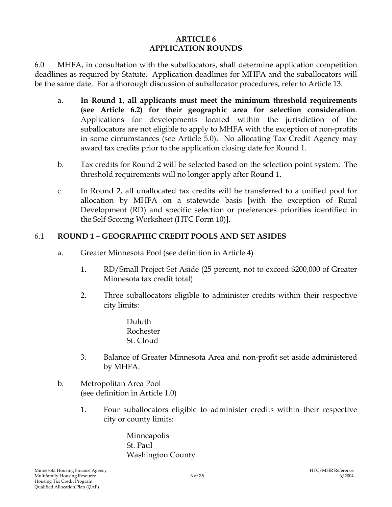### **ARTICLE 6 APPLICATION ROUNDS**

6.0 MHFA, in consultation with the suballocators, shall determine application competition deadlines as required by Statute. Application deadlines for MHFA and the suballocators will be the same date. For a thorough discussion of suballocator procedures, refer to Article 13.

- a. **In Round 1, all applicants must meet the minimum threshold requirements (see Article 6.2) for their geographic area for selection consideration**. Applications for developments located within the jurisdiction of the suballocators are not eligible to apply to MHFA with the exception of non-profits in some circumstances (see Article 5.0). No allocating Tax Credit Agency may award tax credits prior to the application closing date for Round 1.
- b. Tax credits for Round 2 will be selected based on the selection point system. The threshold requirements will no longer apply after Round 1.
- c. In Round 2, all unallocated tax credits will be transferred to a unified pool for allocation by MHFA on a statewide basis [with the exception of Rural Development (RD) and specific selection or preferences priorities identified in the Self-Scoring Worksheet (HTC Form 10)].

## 6.1 **ROUND 1 – GEOGRAPHIC CREDIT POOLS AND SET ASIDES**

- a. Greater Minnesota Pool (see definition in Article 4)
	- 1. RD/Small Project Set Aside (25 percent, not to exceed \$200,000 of Greater Minnesota tax credit total)
	- 2. Three suballocators eligible to administer credits within their respective city limits:
		- Duluth Rochester St. Cloud
	- 3. Balance of Greater Minnesota Area and non-profit set aside administered by MHFA.
- b. Metropolitan Area Pool (see definition in Article 1.0)
	- 1. Four suballocators eligible to administer credits within their respective city or county limits:

Minneapolis St. Paul Washington County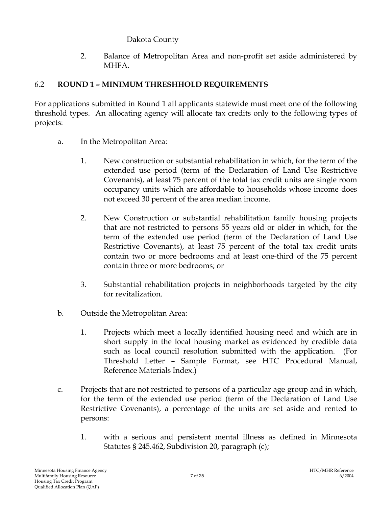# Dakota County

2. Balance of Metropolitan Area and non-profit set aside administered by MHFA.

# 6.2 **ROUND 1 – MINIMUM THRESHHOLD REQUIREMENTS**

For applications submitted in Round 1 all applicants statewide must meet one of the following threshold types. An allocating agency will allocate tax credits only to the following types of projects:

- a. In the Metropolitan Area:
	- 1. New construction or substantial rehabilitation in which, for the term of the extended use period (term of the Declaration of Land Use Restrictive Covenants), at least 75 percent of the total tax credit units are single room occupancy units which are affordable to households whose income does not exceed 30 percent of the area median income.
	- 2. New Construction or substantial rehabilitation family housing projects that are not restricted to persons 55 years old or older in which, for the term of the extended use period (term of the Declaration of Land Use Restrictive Covenants), at least 75 percent of the total tax credit units contain two or more bedrooms and at least one-third of the 75 percent contain three or more bedrooms; or
	- 3. Substantial rehabilitation projects in neighborhoods targeted by the city for revitalization.
- b. Outside the Metropolitan Area:
	- 1. Projects which meet a locally identified housing need and which are in short supply in the local housing market as evidenced by credible data such as local council resolution submitted with the application. (For Threshold Letter – Sample Format, see HTC Procedural Manual, Reference Materials Index.)
- c. Projects that are not restricted to persons of a particular age group and in which, for the term of the extended use period (term of the Declaration of Land Use Restrictive Covenants), a percentage of the units are set aside and rented to persons:
	- 1. with a serious and persistent mental illness as defined in Minnesota Statutes § 245.462, Subdivision 20, paragraph (c);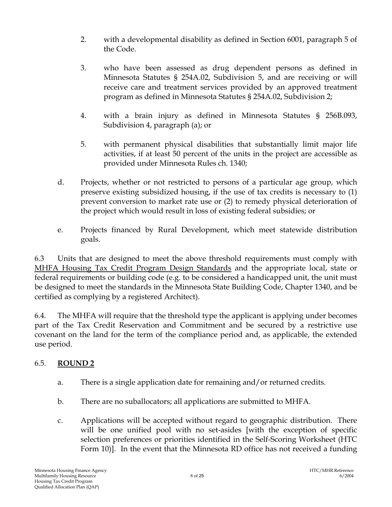- 2. with a developmental disability as defined in Section 6001, paragraph 5 of the Code.
- 3. who have been assessed as drug dependent persons as defined in Minnesota Statutes § 254A.02, Subdivision 5, and are receiving or will receive care and treatment services provided by an approved treatment program as defined in Minnesota Statutes § 254A.02, Subdivision 2;
- 4. with a brain injury as defined in Minnesota Statutes § 256B.093, Subdivision 4, paragraph (a); or
- 5. with permanent physical disabilities that substantially limit major life activities, if at least 50 percent of the units in the project are accessible as provided under Minnesota Rules ch. 1340;
- d. Projects, whether or not restricted to persons of a particular age group, which preserve existing subsidized housing, if the use of tax credits is necessary to (1) prevent conversion to market rate use or (2) to remedy physical deterioration of the project which would result in loss of existing federal subsidies; or
- e. Projects financed by Rural Development, which meet statewide distribution goals.

6.3 Units that are designed to meet the above threshold requirements must comply with MHFA Housing Tax Credit Program Design Standards and the appropriate local, state or federal requirements or building code (e.g. to be considered a handicapped unit, the unit must be designed to meet the standards in the Minnesota State Building Code, Chapter 1340, and be certified as complying by a registered Architect).

6.4. The MHFA will require that the threshold type the applicant is applying under becomes part of the Tax Credit Reservation and Commitment and be secured by a restrictive use covenant on the land for the term of the compliance period and, as applicable, the extended use period.

# 6.5. **ROUND 2**

- a. There is a single application date for remaining and/or returned credits.
- b. There are no suballocators; all applications are submitted to MHFA.
- c. Applications will be accepted without regard to geographic distribution. There will be one unified pool with no set-asides [with the exception of specific selection preferences or priorities identified in the Self-Scoring Worksheet (HTC Form 10)]. In the event that the Minnesota RD office has not received a funding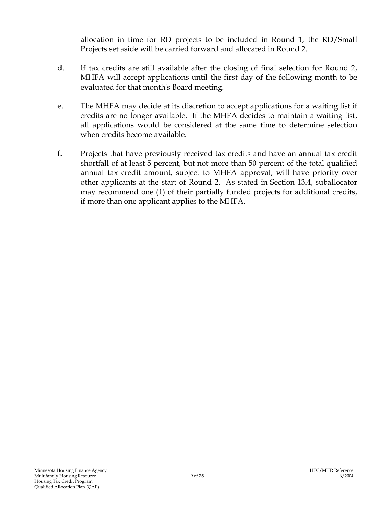allocation in time for RD projects to be included in Round 1, the RD/Small Projects set aside will be carried forward and allocated in Round 2.

- d. If tax credits are still available after the closing of final selection for Round 2, MHFA will accept applications until the first day of the following month to be evaluated for that month's Board meeting.
- e. The MHFA may decide at its discretion to accept applications for a waiting list if credits are no longer available. If the MHFA decides to maintain a waiting list, all applications would be considered at the same time to determine selection when credits become available.
- f. Projects that have previously received tax credits and have an annual tax credit shortfall of at least 5 percent, but not more than 50 percent of the total qualified annual tax credit amount, subject to MHFA approval, will have priority over other applicants at the start of Round 2. As stated in Section 13.4, suballocator may recommend one (1) of their partially funded projects for additional credits, if more than one applicant applies to the MHFA.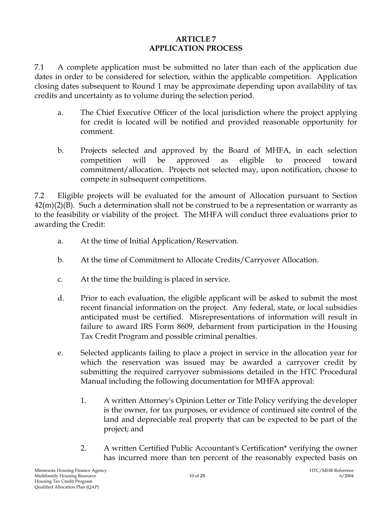### **ARTICLE 7 APPLICATION PROCESS**

7.1 A complete application must be submitted no later than each of the application due dates in order to be considered for selection, within the applicable competition. Application closing dates subsequent to Round 1 may be approximate depending upon availability of tax credits and uncertainty as to volume during the selection period.

- a. The Chief Executive Officer of the local jurisdiction where the project applying for credit is located will be notified and provided reasonable opportunity for comment.
- b. Projects selected and approved by the Board of MHFA, in each selection competition will be approved as eligible to proceed toward commitment/allocation. Projects not selected may, upon notification, choose to compete in subsequent competitions.

7.2 Eligible projects will be evaluated for the amount of Allocation pursuant to Section  $42(m)(2)(B)$ . Such a determination shall not be construed to be a representation or warranty as to the feasibility or viability of the project. The MHFA will conduct three evaluations prior to awarding the Credit:

- a. At the time of Initial Application/Reservation.
- b. At the time of Commitment to Allocate Credits/Carryover Allocation.
- c. At the time the building is placed in service.
- d. Prior to each evaluation, the eligible applicant will be asked to submit the most recent financial information on the project. Any federal, state, or local subsidies anticipated must be certified. Misrepresentations of information will result in failure to award IRS Form 8609, debarment from participation in the Housing Tax Credit Program and possible criminal penalties.
- e. Selected applicants failing to place a project in service in the allocation year for which the reservation was issued may be awarded a carryover credit by submitting the required carryover submissions detailed in the HTC Procedural Manual including the following documentation for MHFA approval:
	- 1. A written Attorney's Opinion Letter or Title Policy verifying the developer is the owner, for tax purposes, or evidence of continued site control of the land and depreciable real property that can be expected to be part of the project; and
	- 2. A written Certified Public Accountant's Certification\* verifying the owner has incurred more than ten percent of the reasonably expected basis on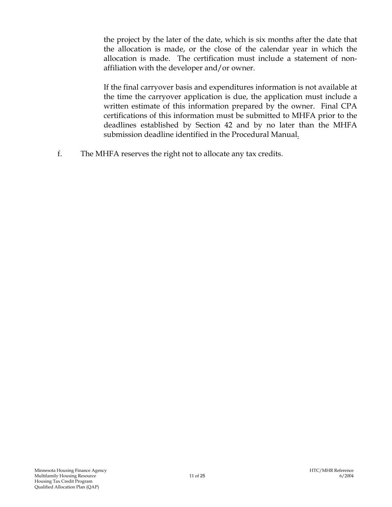the project by the later of the date, which is six months after the date that the allocation is made, or the close of the calendar year in which the allocation is made. The certification must include a statement of nonaffiliation with the developer and/or owner.

If the final carryover basis and expenditures information is not available at the time the carryover application is due, the application must include a written estimate of this information prepared by the owner. Final CPA certifications of this information must be submitted to MHFA prior to the deadlines established by Section 42 and by no later than the MHFA submission deadline identified in the Procedural Manual.

f. The MHFA reserves the right not to allocate any tax credits.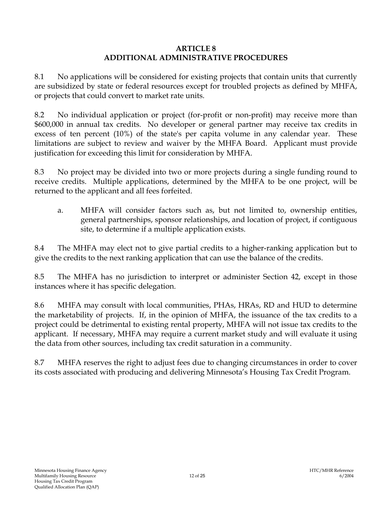### **ARTICLE 8 ADDITIONAL ADMINISTRATIVE PROCEDURES**

8.1 No applications will be considered for existing projects that contain units that currently are subsidized by state or federal resources except for troubled projects as defined by MHFA, or projects that could convert to market rate units.

8.2 No individual application or project (for-profit or non-profit) may receive more than \$600,000 in annual tax credits. No developer or general partner may receive tax credits in excess of ten percent (10%) of the state's per capita volume in any calendar year. These limitations are subject to review and waiver by the MHFA Board. Applicant must provide justification for exceeding this limit for consideration by MHFA.

8.3 No project may be divided into two or more projects during a single funding round to receive credits. Multiple applications, determined by the MHFA to be one project, will be returned to the applicant and all fees forfeited.

a. MHFA will consider factors such as, but not limited to, ownership entities, general partnerships, sponsor relationships, and location of project, if contiguous site, to determine if a multiple application exists.

8.4 The MHFA may elect not to give partial credits to a higher-ranking application but to give the credits to the next ranking application that can use the balance of the credits.

8.5 The MHFA has no jurisdiction to interpret or administer Section 42, except in those instances where it has specific delegation.

8.6 MHFA may consult with local communities, PHAs, HRAs, RD and HUD to determine the marketability of projects. If, in the opinion of MHFA, the issuance of the tax credits to a project could be detrimental to existing rental property, MHFA will not issue tax credits to the applicant. If necessary, MHFA may require a current market study and will evaluate it using the data from other sources, including tax credit saturation in a community.

8.7 MHFA reserves the right to adjust fees due to changing circumstances in order to cover its costs associated with producing and delivering Minnesota's Housing Tax Credit Program.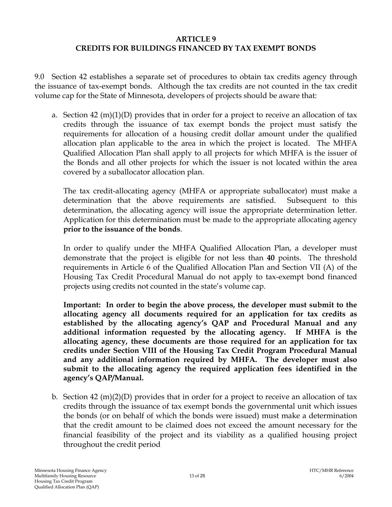### **ARTICLE 9 CREDITS FOR BUILDINGS FINANCED BY TAX EXEMPT BONDS**

9.0 Section 42 establishes a separate set of procedures to obtain tax credits agency through the issuance of tax-exempt bonds. Although the tax credits are not counted in the tax credit volume cap for the State of Minnesota, developers of projects should be aware that:

a. Section 42 (m)(1)(D) provides that in order for a project to receive an allocation of tax credits through the issuance of tax exempt bonds the project must satisfy the requirements for allocation of a housing credit dollar amount under the qualified allocation plan applicable to the area in which the project is located. The MHFA Qualified Allocation Plan shall apply to all projects for which MHFA is the issuer of the Bonds and all other projects for which the issuer is not located within the area covered by a suballocator allocation plan.

The tax credit-allocating agency (MHFA or appropriate suballocator) must make a determination that the above requirements are satisfied. Subsequent to this determination, the allocating agency will issue the appropriate determination letter. Application for this determination must be made to the appropriate allocating agency **prior to the issuance of the bonds**.

In order to qualify under the MHFA Qualified Allocation Plan, a developer must demonstrate that the project is eligible for not less than **40** points. The threshold requirements in Article 6 of the Qualified Allocation Plan and Section VII (A) of the Housing Tax Credit Procedural Manual do not apply to tax-exempt bond financed projects using credits not counted in the state's volume cap.

 **Important: In order to begin the above process, the developer must submit to the allocating agency all documents required for an application for tax credits as established by the allocating agency's QAP and Procedural Manual and any additional information requested by the allocating agency. If MHFA is the allocating agency, these documents are those required for an application for tax credits under Section VIII of the Housing Tax Credit Program Procedural Manual and any additional information required by MHFA. The developer must also submit to the allocating agency the required application fees identified in the agency's QAP/Manual.** 

b. Section 42 (m)(2)(D) provides that in order for a project to receive an allocation of tax credits through the issuance of tax exempt bonds the governmental unit which issues the bonds (or on behalf of which the bonds were issued) must make a determination that the credit amount to be claimed does not exceed the amount necessary for the financial feasibility of the project and its viability as a qualified housing project throughout the credit period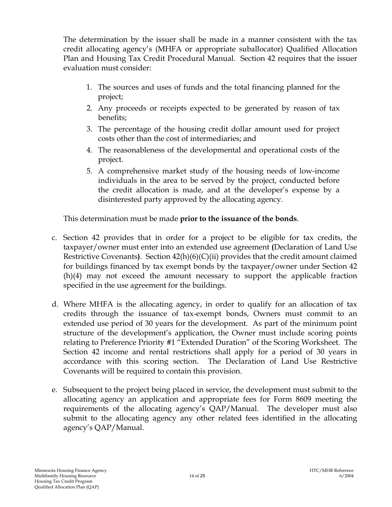The determination by the issuer shall be made in a manner consistent with the tax credit allocating agency's (MHFA or appropriate suballocator) Qualified Allocation Plan and Housing Tax Credit Procedural Manual. Section 42 requires that the issuer evaluation must consider:

- 1. The sources and uses of funds and the total financing planned for the project;
- 2. Any proceeds or receipts expected to be generated by reason of tax benefits;
- 3. The percentage of the housing credit dollar amount used for project costs other than the cost of intermediaries; and
- 4. The reasonableness of the developmental and operational costs of the project.
- 5. A comprehensive market study of the housing needs of low-income individuals in the area to be served by the project, conducted before the credit allocation is made, and at the developer's expense by a disinterested party approved by the allocating agency.

This determination must be made **prior to the issuance of the bonds**.

- c. Section 42 provides that in order for a project to be eligible for tax credits, the taxpayer/owner must enter into an extended use agreement **(**Declaration of Land Use Restrictive Covenants**)**. Section 42(h)(6)(C)(ii) provides that the credit amount claimed for buildings financed by tax exempt bonds by the taxpayer/owner under Section 42 (h)(4) may not exceed the amount necessary to support the applicable fraction specified in the use agreement for the buildings.
- d. Where MHFA is the allocating agency, in order to qualify for an allocation of tax credits through the issuance of tax-exempt bonds, Owners must commit to an extended use period of 30 years for the development. As part of the minimum point structure of the development's application, the Owner must include scoring points relating to Preference Priority #1 "Extended Duration" of the Scoring Worksheet. The Section 42 income and rental restrictions shall apply for a period of 30 years in accordance with this scoring section. The Declaration of Land Use Restrictive Covenants will be required to contain this provision.
- e. Subsequent to the project being placed in service, the development must submit to the allocating agency an application and appropriate fees for Form 8609 meeting the requirements of the allocating agency's QAP/Manual. The developer must also submit to the allocating agency any other related fees identified in the allocating agency's QAP/Manual.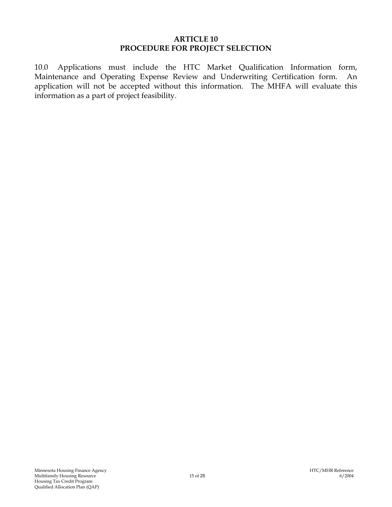#### **ARTICLE 10 PROCEDURE FOR PROJECT SELECTION**

10.0 Applications must include the HTC Market Qualification Information form, Maintenance and Operating Expense Review and Underwriting Certification form. An application will not be accepted without this information. The MHFA will evaluate this information as a part of project feasibility.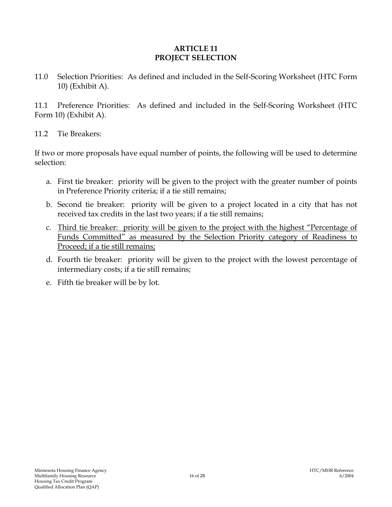### **ARTICLE 11 PROJECT SELECTION**

11.0 Selection Priorities: As defined and included in the Self-Scoring Worksheet (HTC Form 10) (Exhibit A).

11.1 Preference Priorities: As defined and included in the Self-Scoring Worksheet (HTC Form 10) (Exhibit A).

11.2 Tie Breakers:

If two or more proposals have equal number of points, the following will be used to determine selection:

- a. First tie breaker: priority will be given to the project with the greater number of points in Preference Priority criteria; if a tie still remains;
- b. Second tie breaker: priority will be given to a project located in a city that has not received tax credits in the last two years; if a tie still remains;
- c. Third tie breaker: priority will be given to the project with the highest "Percentage of Funds Committed" as measured by the Selection Priority category of Readiness to Proceed; if a tie still remains;
- d. Fourth tie breaker: priority will be given to the project with the lowest percentage of intermediary costs; if a tie still remains;
- e. Fifth tie breaker will be by lot.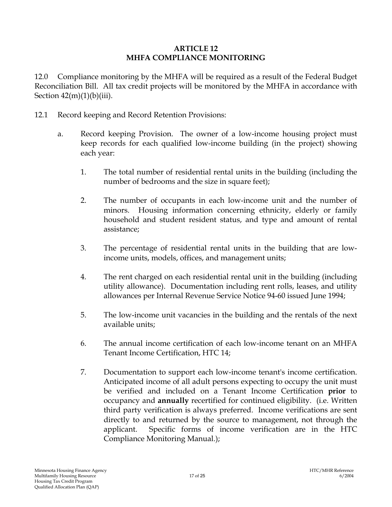### **ARTICLE 12 MHFA COMPLIANCE MONITORING**

12.0 Compliance monitoring by the MHFA will be required as a result of the Federal Budget Reconciliation Bill. All tax credit projects will be monitored by the MHFA in accordance with Section  $42(m)(1)(b)(iii)$ .

- 12.1 Record keeping and Record Retention Provisions:
	- a. Record keeping Provision. The owner of a low-income housing project must keep records for each qualified low-income building (in the project) showing each year:
		- 1. The total number of residential rental units in the building (including the number of bedrooms and the size in square feet);
		- 2. The number of occupants in each low-income unit and the number of minors. Housing information concerning ethnicity, elderly or family household and student resident status, and type and amount of rental assistance;
		- 3. The percentage of residential rental units in the building that are lowincome units, models, offices, and management units;
		- 4. The rent charged on each residential rental unit in the building (including utility allowance). Documentation including rent rolls, leases, and utility allowances per Internal Revenue Service Notice 94-60 issued June 1994;
		- 5. The low-income unit vacancies in the building and the rentals of the next available units;
		- 6. The annual income certification of each low-income tenant on an MHFA Tenant Income Certification, HTC 14;
		- 7. Documentation to support each low-income tenant's income certification. Anticipated income of all adult persons expecting to occupy the unit must be verified and included on a Tenant Income Certification **prior** to occupancy and **annually** recertified for continued eligibility. (i.e. Written third party verification is always preferred. Income verifications are sent directly to and returned by the source to management, not through the applicant. Specific forms of income verification are in the HTC Compliance Monitoring Manual.);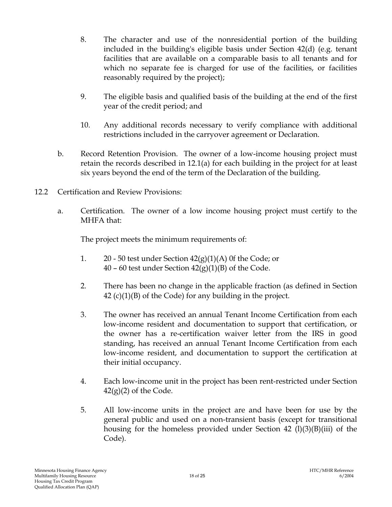- 8. The character and use of the nonresidential portion of the building included in the building's eligible basis under Section 42(d) (e.g. tenant facilities that are available on a comparable basis to all tenants and for which no separate fee is charged for use of the facilities, or facilities reasonably required by the project);
- 9. The eligible basis and qualified basis of the building at the end of the first year of the credit period; and
- 10. Any additional records necessary to verify compliance with additional restrictions included in the carryover agreement or Declaration.
- b. Record Retention Provision. The owner of a low-income housing project must retain the records described in 12.1(a) for each building in the project for at least six years beyond the end of the term of the Declaration of the building.
- 12.2 Certification and Review Provisions:
	- a. Certification. The owner of a low income housing project must certify to the MHFA that:

The project meets the minimum requirements of:

- 1. 20 50 test under Section  $42(g)(1)(A)$  0f the Code; or 40 – 60 test under Section  $42(g)(1)(B)$  of the Code.
- 2. There has been no change in the applicable fraction (as defined in Section  $42$  (c)(1)(B) of the Code) for any building in the project.
- 3. The owner has received an annual Tenant Income Certification from each low-income resident and documentation to support that certification, or the owner has a re-certification waiver letter from the IRS in good standing, has received an annual Tenant Income Certification from each low-income resident, and documentation to support the certification at their initial occupancy.
- 4. Each low-income unit in the project has been rent-restricted under Section  $42(g)(2)$  of the Code.
- 5. All low-income units in the project are and have been for use by the general public and used on a non-transient basis (except for transitional housing for the homeless provided under Section 42  $(l)(3)(B)(iii)$  of the Code).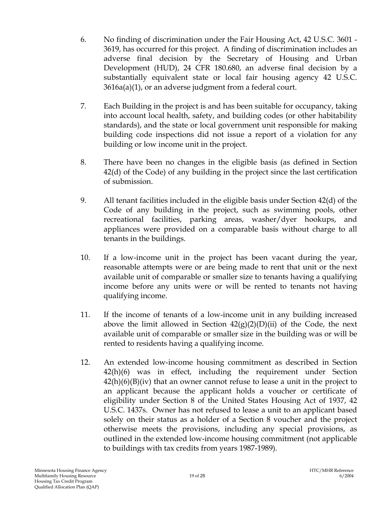- 6. No finding of discrimination under the Fair Housing Act, 42 U.S.C. 3601 3619, has occurred for this project. A finding of discrimination includes an adverse final decision by the Secretary of Housing and Urban Development (HUD), 24 CFR 180.680, an adverse final decision by a substantially equivalent state or local fair housing agency 42 U.S.C. 3616a(a)(1), or an adverse judgment from a federal court.
- 7. Each Building in the project is and has been suitable for occupancy, taking into account local health, safety, and building codes (or other habitability standards), and the state or local government unit responsible for making building code inspections did not issue a report of a violation for any building or low income unit in the project.
- 8. There have been no changes in the eligible basis (as defined in Section 42(d) of the Code) of any building in the project since the last certification of submission.
- 9. All tenant facilities included in the eligible basis under Section 42(d) of the Code of any building in the project, such as swimming pools, other recreational facilities, parking areas, washer/dyer hookups, and appliances were provided on a comparable basis without charge to all tenants in the buildings.
- 10. If a low-income unit in the project has been vacant during the year, reasonable attempts were or are being made to rent that unit or the next available unit of comparable or smaller size to tenants having a qualifying income before any units were or will be rented to tenants not having qualifying income.
- 11. If the income of tenants of a low-income unit in any building increased above the limit allowed in Section  $42(g)(2)(D)(ii)$  of the Code, the next available unit of comparable or smaller size in the building was or will be rented to residents having a qualifying income.
- 12. An extended low-income housing commitment as described in Section 42(h)(6) was in effect, including the requirement under Section  $42(h)(6)(B)(iv)$  that an owner cannot refuse to lease a unit in the project to an applicant because the applicant holds a voucher or certificate of eligibility under Section 8 of the United States Housing Act of 1937, 42 U.S.C. 1437s. Owner has not refused to lease a unit to an applicant based solely on their status as a holder of a Section 8 voucher and the project otherwise meets the provisions, including any special provisions, as outlined in the extended low-income housing commitment (not applicable to buildings with tax credits from years 1987-1989).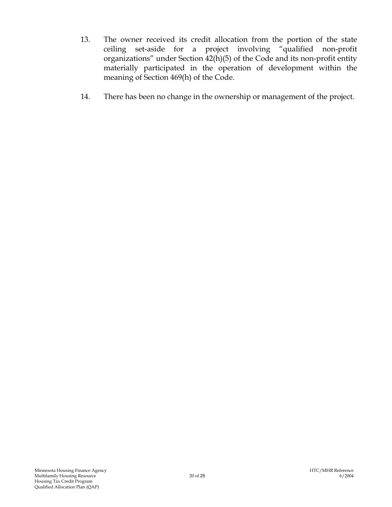- 13. The owner received its credit allocation from the portion of the state ceiling set-aside for a project involving "qualified non-profit organizations" under Section 42(h)(5) of the Code and its non-profit entity materially participated in the operation of development within the meaning of Section 469(h) of the Code.
- 14. There has been no change in the ownership or management of the project.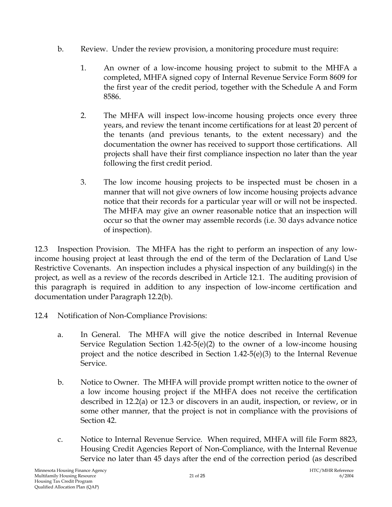- b. Review. Under the review provision, a monitoring procedure must require:
	- 1. An owner of a low-income housing project to submit to the MHFA a completed, MHFA signed copy of Internal Revenue Service Form 8609 for the first year of the credit period, together with the Schedule A and Form 8586.
	- 2. The MHFA will inspect low-income housing projects once every three years, and review the tenant income certifications for at least 20 percent of the tenants (and previous tenants, to the extent necessary) and the documentation the owner has received to support those certifications. All projects shall have their first compliance inspection no later than the year following the first credit period.
	- 3. The low income housing projects to be inspected must be chosen in a manner that will not give owners of low income housing projects advance notice that their records for a particular year will or will not be inspected. The MHFA may give an owner reasonable notice that an inspection will occur so that the owner may assemble records (i.e. 30 days advance notice of inspection).

12.3 Inspection Provision. The MHFA has the right to perform an inspection of any lowincome housing project at least through the end of the term of the Declaration of Land Use Restrictive Covenants. An inspection includes a physical inspection of any building(s) in the project, as well as a review of the records described in Article 12.1. The auditing provision of this paragraph is required in addition to any inspection of low-income certification and documentation under Paragraph 12.2(b).

- 12.4 Notification of Non-Compliance Provisions:
	- a. In General. The MHFA will give the notice described in Internal Revenue Service Regulation Section  $1.42-5(e)(2)$  to the owner of a low-income housing project and the notice described in Section 1.42-5(e)(3) to the Internal Revenue Service.
	- b. Notice to Owner. The MHFA will provide prompt written notice to the owner of a low income housing project if the MHFA does not receive the certification described in 12.2(a) or 12.3 or discovers in an audit, inspection, or review, or in some other manner, that the project is not in compliance with the provisions of Section 42.
	- c. Notice to Internal Revenue Service. When required, MHFA will file Form 8823, Housing Credit Agencies Report of Non-Compliance, with the Internal Revenue Service no later than 45 days after the end of the correction period (as described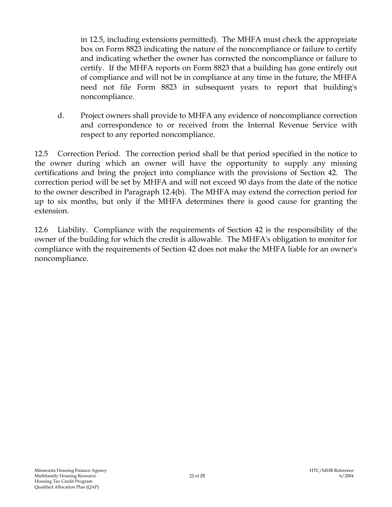in 12.5, including extensions permitted). The MHFA must check the appropriate box on Form 8823 indicating the nature of the noncompliance or failure to certify and indicating whether the owner has corrected the noncompliance or failure to certify. If the MHFA reports on Form 8823 that a building has gone entirely out of compliance and will not be in compliance at any time in the future, the MHFA need not file Form 8823 in subsequent years to report that building's noncompliance.

d. Project owners shall provide to MHFA any evidence of noncompliance correction and correspondence to or received from the Internal Revenue Service with respect to any reported noncompliance.

12.5 Correction Period. The correction period shall be that period specified in the notice to the owner during which an owner will have the opportunity to supply any missing certifications and bring the project into compliance with the provisions of Section 42. The correction period will be set by MHFA and will not exceed 90 days from the date of the notice to the owner described in Paragraph 12.4(b). The MHFA may extend the correction period for up to six months, but only if the MHFA determines there is good cause for granting the extension.

12.6 Liability. Compliance with the requirements of Section 42 is the responsibility of the owner of the building for which the credit is allowable. The MHFA's obligation to monitor for compliance with the requirements of Section 42 does not make the MHFA liable for an owner's noncompliance.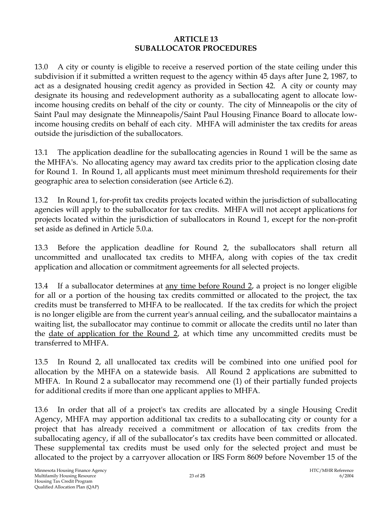### **ARTICLE 13 SUBALLOCATOR PROCEDURES**

13.0 A city or county is eligible to receive a reserved portion of the state ceiling under this subdivision if it submitted a written request to the agency within 45 days after June 2, 1987, to act as a designated housing credit agency as provided in Section 42. A city or county may designate its housing and redevelopment authority as a suballocating agent to allocate lowincome housing credits on behalf of the city or county. The city of Minneapolis or the city of Saint Paul may designate the Minneapolis/Saint Paul Housing Finance Board to allocate lowincome housing credits on behalf of each city. MHFA will administer the tax credits for areas outside the jurisdiction of the suballocators.

13.1 The application deadline for the suballocating agencies in Round 1 will be the same as the MHFA's. No allocating agency may award tax credits prior to the application closing date for Round 1. In Round 1, all applicants must meet minimum threshold requirements for their geographic area to selection consideration (see Article 6.2).

13.2 In Round 1, for-profit tax credits projects located within the jurisdiction of suballocating agencies will apply to the suballocator for tax credits. MHFA will not accept applications for projects located within the jurisdiction of suballocators in Round 1, except for the non-profit set aside as defined in Article 5.0.a.

13.3 Before the application deadline for Round 2, the suballocators shall return all uncommitted and unallocated tax credits to MHFA, along with copies of the tax credit application and allocation or commitment agreements for all selected projects.

13.4 If a suballocator determines at any time before Round 2, a project is no longer eligible for all or a portion of the housing tax credits committed or allocated to the project, the tax credits must be transferred to MHFA to be reallocated. If the tax credits for which the project is no longer eligible are from the current year's annual ceiling, and the suballocator maintains a waiting list, the suballocator may continue to commit or allocate the credits until no later than the <u>date of application for the Round 2</u>, at which time any uncommitted credits must be transferred to MHFA.

13.5 In Round 2, all unallocated tax credits will be combined into one unified pool for allocation by the MHFA on a statewide basis. All Round 2 applications are submitted to MHFA. In Round 2 a suballocator may recommend one (1) of their partially funded projects for additional credits if more than one applicant applies to MHFA.

13.6 In order that all of a project's tax credits are allocated by a single Housing Credit Agency, MHFA may apportion additional tax credits to a suballocating city or county for a project that has already received a commitment or allocation of tax credits from the suballocating agency, if all of the suballocator's tax credits have been committed or allocated. These supplemental tax credits must be used only for the selected project and must be allocated to the project by a carryover allocation or IRS Form 8609 before November 15 of the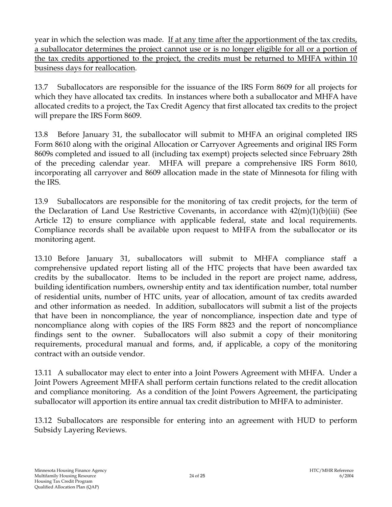year in which the selection was made. If at any time after the apportionment of the tax credits, a suballocator determines the project cannot use or is no longer eligible for all or a portion of the tax credits apportioned to the project, the credits must be returned to MHFA within 10 business days for reallocation.

13.7 Suballocators are responsible for the issuance of the IRS Form 8609 for all projects for which they have allocated tax credits. In instances where both a suballocator and MHFA have allocated credits to a project, the Tax Credit Agency that first allocated tax credits to the project will prepare the IRS Form 8609.

13.8 Before January 31, the suballocator will submit to MHFA an original completed IRS Form 8610 along with the original Allocation or Carryover Agreements and original IRS Form 8609s completed and issued to all (including tax exempt) projects selected since February 28th of the preceding calendar year. MHFA will prepare a comprehensive IRS Form 8610, incorporating all carryover and 8609 allocation made in the state of Minnesota for filing with the IRS.

13.9 Suballocators are responsible for the monitoring of tax credit projects, for the term of the Declaration of Land Use Restrictive Covenants, in accordance with  $42(m)(1)(b)(iii)$  (See Article 12) to ensure compliance with applicable federal, state and local requirements. Compliance records shall be available upon request to MHFA from the suballocator or its monitoring agent.

13.10 Before January 31, suballocators will submit to MHFA compliance staff a comprehensive updated report listing all of the HTC projects that have been awarded tax credits by the suballocator. Items to be included in the report are project name, address, building identification numbers, ownership entity and tax identification number, total number of residential units, number of HTC units, year of allocation, amount of tax credits awarded and other information as needed. In addition, suballocators will submit a list of the projects that have been in noncompliance, the year of noncompliance, inspection date and type of noncompliance along with copies of the IRS Form 8823 and the report of noncompliance findings sent to the owner. Suballocators will also submit a copy of their monitoring requirements, procedural manual and forms, and, if applicable, a copy of the monitoring contract with an outside vendor.

13.11 A suballocator may elect to enter into a Joint Powers Agreement with MHFA. Under a Joint Powers Agreement MHFA shall perform certain functions related to the credit allocation and compliance monitoring. As a condition of the Joint Powers Agreement, the participating suballocator will apportion its entire annual tax credit distribution to MHFA to administer.

13.12 Suballocators are responsible for entering into an agreement with HUD to perform Subsidy Layering Reviews.